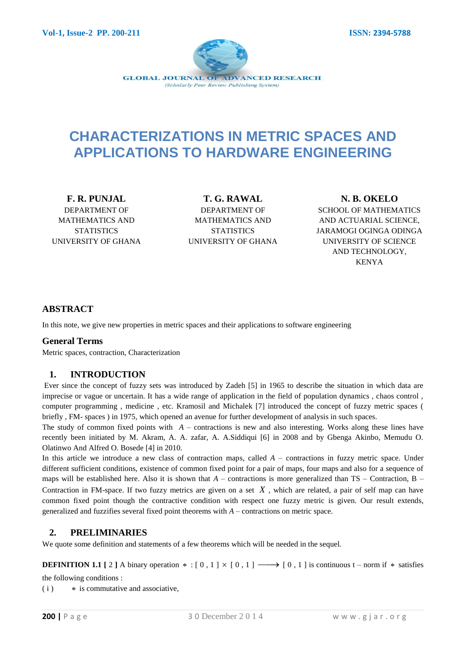

# **CHARACTERIZATIONS IN METRIC SPACES AND APPLICATIONS TO HARDWARE ENGINEERING**

**F. R. PUNJAL** DEPARTMENT OF MATHEMATICS AND **STATISTICS** UNIVERSITY OF GHANA

**T. G. RAWAL** DEPARTMENT OF MATHEMATICS AND **STATISTICS** UNIVERSITY OF GHANA

**N. B. OKELO** SCHOOL OF MATHEMATICS AND ACTUARIAL SCIENCE, JARAMOGI OGINGA ODINGA UNIVERSITY OF SCIENCE AND TECHNOLOGY, KENYA

## **ABSTRACT**

In this note, we give new properties in metric spaces and their applications to software engineering

### **General Terms**

Metric spaces, contraction, Characterization

## **1. INTRODUCTION**

Ever since the concept of fuzzy sets was introduced by Zadeh [5] in 1965 to describe the situation in which data are imprecise or vague or uncertain. It has a wide range of application in the field of population dynamics , chaos control , computer programming , medicine , etc. Kramosil and Michalek [7] introduced the concept of fuzzy metric spaces ( briefly , FM- spaces ) in 1975, which opened an avenue for further development of analysis in such spaces.

The study of common fixed points with  $A$  – contractions is new and also interesting. Works along these lines have recently been initiated by M. Akram, A. A. zafar, A. A.Siddiqui [6] in 2008 and by Gbenga Akinbo, Memudu O. Olatinwo And Alfred O. Bosede [4] in 2010.

In this article we introduce a new class of contraction maps, called *A* – contractions in fuzzy metric space. Under different sufficient conditions, existence of common fixed point for a pair of maps, four maps and also for a sequence of maps will be established here. Also it is shown that *A* – contractions is more generalized than TS – Contraction, B – Contraction in FM-space. If two fuzzy metrics are given on a set  $X$ , which are related, a pair of self map can have common fixed point though the contractive condition with respect one fuzzy metric is given. Our result extends, generalized and fuzzifies several fixed point theorems with *A* – contractions on metric space.

## **2. PRELIMINARIES**

We quote some definition and statements of a few theorems which will be needed in the sequel.

**DEFINITION 1.1** [2] A binary operation  $* : [0, 1] \times [0, 1] \longrightarrow [0, 1]$  is continuous t – norm if  $*$  satisfies

the following conditions :

 $(i)$ is commutative and associative,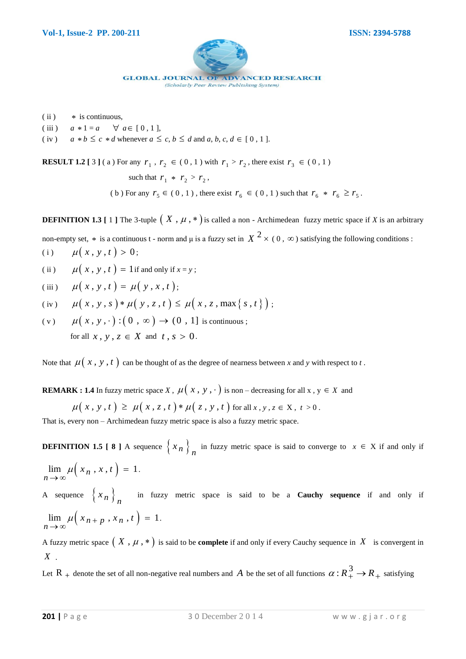

 $(iii)$ is continuous,

- $(iii)$  $a * 1 = a$  $\forall a \in [0, 1],$
- $(iv)$  $b \leq c * d$  whenever  $a \leq c, b \leq d$  and  $a, b, c, d \in [0, 1]$ .

**RESULT 1.2** [ 3 ] (a) For any  $r_1$ ,  $r_2 \in (0, 1)$  with  $r_1 > r_2$ , there exist  $r_3 \in (0, 1)$ 

such that  $r_1 * r_2 > r_2$ , (b) For any  $r_5 \in (0, 1)$ , there exist  $r_6 \in (0, 1)$  such that  $r_6 * r_6 \ge r_5$ .

**DEFINITION 1.3** [ 1 ] The 3-tuple  $(X, \mu, *)$  is called a non - Archimedean fuzzy metric space if *X* is an arbitrary

non-empty set,  $*$  is a continuous t - norm and  $\mu$  is a fuzzy set in  $X^2 \times (0, \infty)$  satisfying the following conditions :

(i) 
$$
\mu(x, y, t) > 0;
$$

(ii)  $\mu(x, y, t) = 1$  if and only if  $x = y$ ;

(iii) 
$$
\mu(x, y, t) = \mu(y, x, t);
$$

(iii) 
$$
\mu(x, y, t) = \mu(y, x, t);
$$
  
\n(iv)  $\mu(x, y, s) * \mu(y, z, t) \le \mu(x, z, \max\{s, t\});$ 

$$
\mu(x, y, \cdot) : (0, \infty) \to (0, 1] \text{ is continuous};
$$
  
for all  $x, y, z \in X$  and  $t, s > 0$ .

Note that  $\mu(x, y, t)$  can be thought of as the degree of nearness between *x* and *y* with respect to *t*.

**REMARK**: 1.4 In fuzzy metric space X, 
$$
\mu(x, y, \cdot)
$$
 is non–decreasing for all x,  $y \in X$  and  
 $\mu(x, y, t) \ge \mu(x, z, t) * \mu(z, y, t)$  for all x,  $y, z \in X$ ,  $t > 0$ .

That is, every non – Archimedean fuzzy metric space is also a fuzzy metric space.

**DEFINITION 1.5 [ 8 ]** A sequence  $\left\{ x_n \right\}_n$  in fuzzy metric space is said to converge to  $x \in X$  if and only if

 $\lim_{n \to \infty} \mu\left(x_n, x, t\right) = 1$  $\mu(x_n, x, t)$  $\lim_{n \to \infty} \mu(x_n, x, t) = 1.$ 

A sequence  $\left\{ x_n \right\}_n$  in fuzzy metric space is said to be a **Cauchy sequence** if and only if  $\lim_{n \to \infty} \mu\left(x_{n+p}, x_n, t\right) = 1$  $\lim_{n \to \infty} \mu\left(x_{n+p}, x_n, t\right) = 1.$ 

A fuzzy metric space  $(X, \mu, *)$  is said to be **complete** if and only if every Cauchy sequence in X is convergent in *X* .

Let R <sub>+</sub> denote the set of all non-negative real numbers and A be the set of all functions  $\alpha$  :  $R_+^3 \to R_+$  satisfying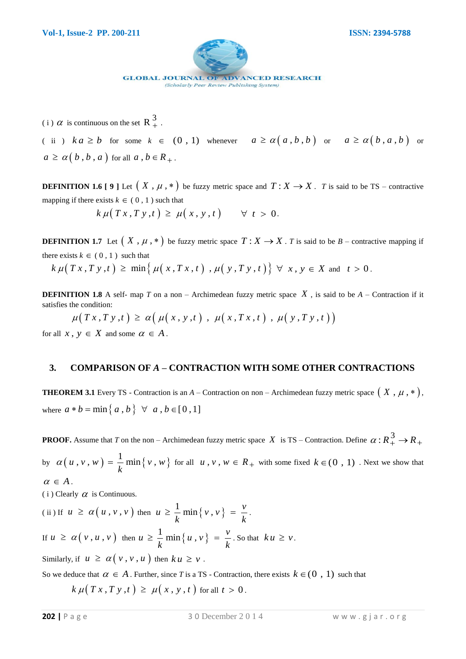

(i)  $\alpha$  is continuous on the set R $\frac{3}{4}$ .

(ii)  $ka \ge b$  for some  $k \in (0, 1)$  whenever  $a \ge a(a, b, b)$  or  $a \ge a(b, a, b)$  or  $a \ge \alpha (b, b, a)$  for all  $a, b \in R_+$ .

**DEFINITION 1.6 [9]** Let  $(X, \mu, *)$  be fuzzy metric space and  $T: X \rightarrow X$ . *T* is said to be TS – contractive mapping if there exists  $k \in (0, 1)$  such that

 $k \mu(T x, T y, t) \geq \mu(x, y, t) \quad \forall t > 0.$ 

**DEFINITION 1.7** Let  $(X, \mu, *)$  be fuzzy metric space  $T: X \to X$ . *T* is said to be *B* – contractive mapping if there exists  $k \in (0, 1)$  such that **DEFINITION 1.7** Let  $(X, \mu, *)$  be fuzzy metric space  $T : X \to X$ . *I* is said to be  $B$  – contract<br>there exists  $k \in (0, 1)$  such that<br> $k \mu(Tx, Ty, t) \ge \min\{ \mu(x, Tx, t), \mu(y, Ty, t) \} \forall x, y \in X$  and  $t > 0$ .

**DEFINITION 1.8** A self- map  $T$  on a non – Archimedean fuzzy metric space  $X$ , is said to be  $A$  – Contraction if it satisfies the condition:

 $\mu(T x, T y, t) \ge \alpha \big( \mu(x, y, t) , \mu(x, T x, t) , \mu(y, T y, t) \big)$ 

for all  $x, y \in X$  and some  $\alpha \in A$ .

### **3. COMPARISON OF** *A* **– CONTRACTION WITH SOME OTHER CONTRACTIONS**

**THEOREM 3.1** Every TS - Contraction is an  $A$  – Contraction on non – Archimedean fuzzy metric space  $(X, \mu, *)$ , where  $a * b = \min\{a, b\} \forall a, b \in [0, 1]$ 

**PROOF.** Assume that *T* on the non – Archimedean fuzzy metric space  $X$  is TS – Contraction. Define  $\alpha$ :  $R_+^3 \to R_+$ by  $\alpha(u, v, w) = \frac{1}{l} \min \{v, w\}$  $u, v, w$  =  $\frac{1}{k} \min \{ v, w \}$  $\alpha(u, v, w) = \frac{1}{k} \min\{v, w\}$  for all  $u, v, w \in R_+$  with some fixed  $k \in (0, 1)$ . Next we show that  $\alpha \in A$ .

 $(i)$  Clearly  $\alpha$  is Continuous.

(ii) If  $u \ge \alpha(u, v, v)$  then  $u \ge \frac{1}{t} \min\{v, v\}$  $u \geq \frac{1}{l} \min \{v, v\} = \frac{v}{l}$  $\frac{1}{k}$  min {  $v$  ,  $v$  } =  $\frac{1}{k}$  $\geq \frac{1}{l} \min \{v, v\} = \frac{v}{l}$ . If  $u \ge \alpha(v, u, v)$  then  $u \ge \frac{1}{x} \min\{u, v\}$  $u \geq \frac{1}{l} \min \{ u, v \} = \frac{v}{l}$  $\frac{1}{k}$  min {  $u$  ,  $v$  } =  $\frac{1}{k}$  $\geq \frac{1}{l} \min \{ u, v \} = \frac{v}{l}$ . So that  $ku \geq v$ .

Similarly, if  $u \ge \alpha(v, v, u)$  then  $ku \ge v$ .

So we deduce that  $\alpha \in A$ . Further, since T is a TS - Contraction, there exists  $k \in (0, 1)$  such that

 $k \mu(T x, T y, t) \ge \mu(x, y, t)$  for all  $t > 0$ .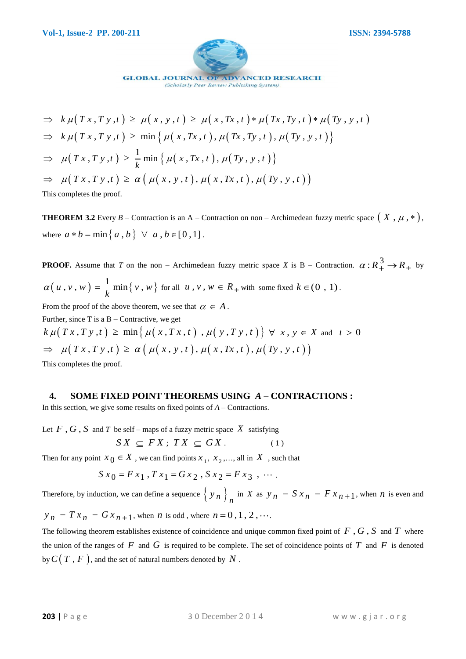

**PROBAL SOLUATE** A. 
$$
S = \{x, y, t\} \in \mathbb{Z}
$$
 A.  $S = \{x, y, t\} \in \mathbb{Z}$  A.  $S = \{x, y, t\} \in \mathbb{Z}$  A.  $S = \{x, y, t\} \in \mathbb{Z}$  A.  $S = \{x, y, t\} \in \mathbb{Z}$  A.  $S = \{x, y, t\} \in \mathbb{Z}$  A.  $S = \{x, y, t\} \in \mathbb{Z}$  A.  $S = \{x, y, t\} \in \mathbb{Z}$  A.  $S = \{x, y, t\} \in \mathbb{Z}$  A.  $S = \{x, y, t\} \in \mathbb{Z}$  A.  $S = \{x, y, t\} \in \mathbb{Z}$  A.  $S = \{x, y, t\} \in \mathbb{Z}$  A.  $S = \{x, y, t\} \in \mathbb{Z}$  A.  $S = \{x, y, t\} \in \mathbb{Z}$  B.  $S = \{x, y, t\} \in \mathbb{Z}$  A.  $S = \{x, y, t\} \in \mathbb{Z}$  B.  $S = \{x, y, t\} \in \mathbb{Z}$  B.  $S = \{x, y, t\} \in \mathbb{Z}$  B.  $S = \{x, y, t\} \in \mathbb{Z}$  B.  $S = \{x, y, t\} \in \mathbb{Z}$  B.  $S = \{x, y, t\} \in \mathbb{Z}$  B.  $S = \{x, y, t\} \in \mathbb{Z}$  B.  $S = \{x, y, t\} \in \mathbb{Z}$  B.  $S = \{x, y, t\} \in \mathbb{Z}$  C.  $S = \{x, y, t\} \in \mathbb{Z}$  A.  $S = \{x, y, y\} \in \mathbb{Z}$ 

**THEOREM 3.2** Every  $B$  – Contraction is an A – Contraction on non – Archimedean fuzzy metric space  $(X, \mu, *)$ , where  $a * b = \min\{a, b\} \ \forall \ a, b \in [0, 1]$ .

**PROOF.** Assume that *T* on the non – Archimedean fuzzy metric space *X* is B – Contraction.  $\alpha: R_+^3 \to R_+$  by  $(u, v, w) = \frac{1}{l} \min \{v, w\}$  $u, v, w$  =  $\frac{1}{k} \min \{ v, w \}$  $\alpha(u, v, w) = \frac{1}{k} \min\{v, w\}$  for all  $u, v, w \in R_+$  with some fixed  $k \in (0, 1)$ . From the proof of the above theorem, we see that  $\alpha \in A$ .

Further, since  $T$  is a  $B -$ Contractive, we get

From the proof of the above theorem, we see that  $\alpha \in A$ .<br>
Further, since T is a B – Contractive, we get<br>  $k \mu(T x, T y, t) \ge \min \{ \mu(x, Tx, t) , \mu(y, Ty, t) \} \forall x, y \in X$  and  $t > 0$  $\Rightarrow$   $\mu(T x, T y, t) \geq \alpha \left( \mu(x, y, t), \mu(x, Tx, t), \mu(T y, y, t) \right)$ This completes the proof.

### **4. SOME FIXED POINT THEOREMS USING** *A* **– CONTRACTIONS :**

In this section, we give some results on fixed points of *A* – Contractions.

Let  $F$ ,  $G$ ,  $S$  and  $T$  be self – maps of a fuzzy metric space  $X$  satisfying

$$
SX \subseteq FX; TX \subseteq GX.
$$
 (1)

Then for any point  $x_0 \in X$ , we can find points  $x_1, x_2, \dots$ , all in  $X$ , such that<br>  $S x_0 = F x_1$ ,  $T x_1 = G x_2$ ,  $S x_2 = F x_3$ ,  $\cdots$ .

$$
Sx_0 = Fx_1
$$
,  $Tx_1 = Gx_2$ ,  $Sx_2 = Fx_3$ , ...

Therefore, by induction, we can define a sequence  $\left\{ y_n \right\}_n$  in *X* as  $y_n = S x_n = F x_{n+1}$ , when *n* is even and  $y_n = Tx_n = Gx_{n+1}$ , when *n* is odd, where  $n = 0, 1, 2, \cdots$ .

The following theorem establishes existence of coincidence and unique common fixed point of  $F$ ,  $G$ ,  $S$  and  $T$  where the union of the ranges of  $F$  and  $G$  is required to be complete. The set of coincidence points of  $T$  and  $F$  is denoted by  $C(T, F)$ , and the set of natural numbers denoted by  $N$  .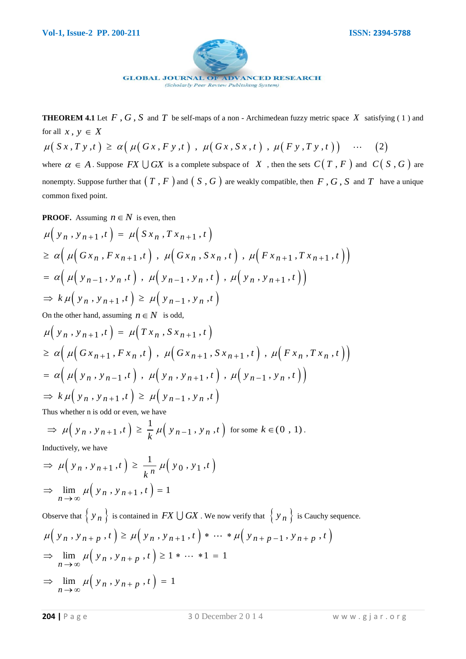

**THEOREM 4.1** Let  $F$ ,  $G$ ,  $S$  and  $T$  be self-maps of a non - Archimedean fuzzy metric space  $X$  satisfying (1) and for all  $x, y \in X$ 

 $\mu(Sx, Ty, t) \ge \alpha(\mu(Gx, Fy, t), \mu(Gx, Sx, t), \mu(Fy, Ty, t))$  ... (2) where  $\alpha \in A$ . Suppose  $FX \cup GX$  is a complete subspace of X, then the sets  $C(T, F)$  and  $C(S, G)$  are

nonempty. Suppose further that  $(T, F)$  and  $(S, G)$  are weakly compatible, then  $F, G, S$  and  $T$  have a unique common fixed point.

PROOF. Assuming 
$$
n \in N
$$
 is even, then  
\n
$$
\mu(y_n, y_{n+1}, t) = \mu(Sx_n, Tx_{n+1}, t)
$$
\n
$$
\geq \alpha \Big( \mu\Big( Gx_n, Fx_{n+1}, t \Big), \mu\Big( Gx_n, Sx_n, t \Big), \mu\Big( Fx_{n+1}, Tx_{n+1}, t \Big) \Big)
$$
\n
$$
= \alpha \Big( \mu\Big( y_{n-1}, y_n, t \Big), \mu\Big( y_{n-1}, y_n, t \Big), \mu\Big( y_n, y_{n+1}, t \Big) \Big)
$$
\n
$$
\Rightarrow k \mu\Big( y_n, y_{n+1}, t \Big) \geq \mu\Big( y_{n-1}, y_n, t \Big)
$$

On the other hand, assuming 
$$
n \in N
$$
 is odd,  
\n
$$
\mu(y_n, y_{n+1}, t) = \mu(Tx_n, Sx_{n+1}, t)
$$
\n
$$
\geq \alpha \Big( \mu\Big( Gx_{n+1}, Fx_n, t \Big), \mu\Big( Gx_{n+1}, Sx_{n+1}, t \Big), \mu\Big( Fx_n, Tx_n, t \Big) \Big)
$$
\n
$$
= \alpha \Big( \mu\Big( y_n, y_{n-1}, t \Big), \mu\Big( y_n, y_{n+1}, t \Big), \mu\Big( y_{n-1}, y_n, t \Big) \Big)
$$
\n
$$
\Rightarrow k \mu\Big( y_n, y_{n+1}, t \Big) \geq \mu\Big( y_{n-1}, y_n, t \Big)
$$

Thus whether n is odd or even, we have  
\n
$$
\Rightarrow \mu\left(\gamma_n, \gamma_{n+1}, t\right) \ge \frac{1}{k} \mu\left(\gamma_{n-1}, \gamma_n, t\right) \text{ for some } k \in (0, 1).
$$
\nInductively, we have

Inductively, we have

Inductively, we have  
\n
$$
\Rightarrow \mu(y_n, y_{n+1}, t) \ge \frac{1}{k^n} \mu(y_0, y_1, t)
$$
\n
$$
\Rightarrow \lim_{n \to \infty} \mu(y_n, y_{n+1}, t) = 1
$$

Observe that  $\{y_n\}$  is contained in  $FX \cup GX$ . We now verify that  $\{y_n\}$  is Cauchy sequence.  $\mu\big(\,y_n\,,y_{n+p}\,,t\,\big)\geq\mu\big(\,y_n\,,y_{n+1}\,,t\,\big)\,*\,\cdots\,*\mu\big(\,y_{n+p-1}\,,y_{n+p}\,,t\,\big)$  $\left(\lim_{n \to \infty} \mu\left(y_n, y_{n+1}, t\right) * \cdots\right)$ <br>  $\lim_{n \to \infty} \mu\left(y_n, y_{n+p}, t\right) \ge 1 * \cdots * 1 = 1$  $\lim_{x\to\infty}\mu(x)$  $μ(y_n, y_{n+p}, t) ≥ μ(y_n, y_{n+1}, t) * … * μ($ <br>
⇒ lim  $μ(y_n, y_{n+p}, t) ≥ 1 * … * 1 = 1$  $\lim_{n \to \infty} \mu\left(y_n, y_{n+p}, t\right) = 1$  $\lim_{x\to\infty}\mu\Big($  $\Rightarrow \lim_{n \to \infty} \mu(y_n, y_{n+p}, t) = 1$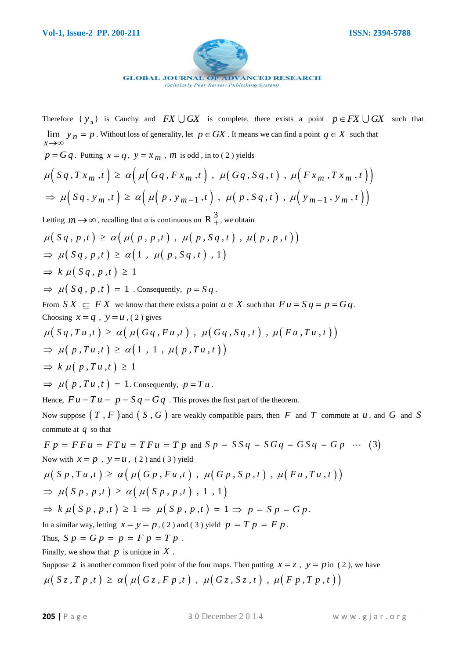

Therefore  $\{y_n\}$  is Cauchy and  $FX \cup GX$  is complete, there exists a point  $p \in FX \cup GX$  such that  $\lim_{x\to\infty} y_n$  $y_n = p$  $\rightarrow \infty$  $=p$ . Without loss of generality, let  $p \in GX$ . It means we can find a point  $q \in X$  such that  $p = Gq$ . Putting  $x = q$ ,  $y = x_m$ , *m* is odd, in to (2) yields  $\mu(Sq, Tx_m, t) \ge \alpha\left(\mu\big(Gq, Fx_m, t\big), \mu\big(Gq, Sq, t\big), \mu\big(Fx_m, Tx_m, t\big)\right)$  $\Rightarrow \mu(S q, y_m, t) \ge \alpha(\mu(P, y_{m-1}, t), \mu(P, S q, t), \mu(Y_{m-1}, y_m, t))$ Letting  $m \rightarrow \infty$ , recalling that  $\alpha$  is continuous on  $R^3_+$ , we obtain  $\mu(Sq, p, t) \geq \alpha(\mu(p, p, t), \mu(p, Sq, t), \mu(p, p, t))$  $\Rightarrow \mu(Sq, p, t) \geq \alpha(1, \mu(p, Sq, t), 1)$  $\Rightarrow k \mu(Sq, p, t) \geq 1$  $\Rightarrow \mu(Sq, p, t) = 1$ . Consequently,  $p = Sq$ . From  $S X \subseteq F X$  we know that there exists a point  $u \in X$  such that  $F u = S q = p = G q$ . Choosing  $x = q$ ,  $y = u$ , (2) gives From  $S X \subseteq FX$  we know that there exists a point  $u \in X$  such that  $Fu = Sq = p =$ <br>Choosing  $x = q$ ,  $y = u$ , (2) gives<br> $\mu(S q, Tu, t) \ge \alpha (\mu(G q, Fu, t)$ ,  $\mu(G q, S q, t)$ ,  $\mu(F u, Tu, t))$  $\mu(Sq, Tu, t) \ge \alpha(\mu(Gq, Fu, t)), \mu(Gq)$ <br>  $\Rightarrow \mu(p, Tu, t) \ge \alpha(1, 1, \mu(p, Tu, t))$  $\Rightarrow k \mu(p, Tu, t) \geq 1$  $\Rightarrow \mu(p, Tu, t) = 1$ . Consequently,  $p = Tu$ . Hence,  $F u = T u = p = S q = G q$ . This proves the first part of the theorem. Now suppose  $(T, F)$  and  $(S, G)$  are weakly compatible pairs, then  $F$  and  $T$  commute at  $u$ , and  $G$  and  $S$ commute at  $q$  so that *F P* = *F F u* = *F T u* = *T F u* = *T p* and *S p* = *S S q* = *S G q* = *G S q* = *G p*  $\cdots$  (3)

$$
F p = F F u = FT u = TF u = T p \text{ and } S p = SS q = SG q = GS q = G p \cdots (3)
$$
  
Now with  $x = p$ ,  $y = u$ , (2) and (3) yield  

$$
\mu(S p, Tu, t) \ge \alpha (\mu(G p, Fu, t), \mu(G p, S p, t), \mu(F u, Tu, t))
$$

$$
\Rightarrow \mu(S p, p, t) \ge \alpha (\mu(S p, p, t), 1, 1)
$$

$$
\Rightarrow k \mu(S p, p, t) \ge 1 \Rightarrow \mu(S p, p, t) = 1 \Rightarrow p = S p = G p.
$$
  
In a similar way, letting  $x = y = p$ , (2) and (3) yield  $p = T p = F p$ .  
Thus,  $S p = G p = p = F p = T p$ .  
Finally, we show that p is unique in X.  
Suppose z is another common fixed point of the four maps. Then putting  $x = z$ ,  $y = p$  in (2), we have

 $\mu(S_{\mathcal{Z}}, T p, t) \geq \alpha \big( \mu(G_{\mathcal{Z}}, F p, t) \big)$ ,  $\mu(G_{\mathcal{Z}}, S_{\mathcal{Z}}, t)$ ,  $\mu(F p, T p, t)$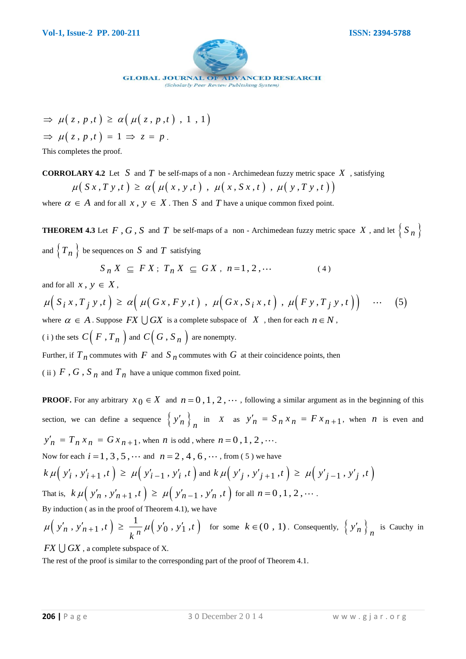

$$
\Rightarrow \mu(z, p, t) \ge \alpha(\mu(z, p, t), 1, 1)
$$
  
\n
$$
\Rightarrow \mu(z, p, t) = 1 \Rightarrow z = p.
$$
  
\nThis completes the proof.

This completes the proof.

**CORROLARY 4.2** Let S and T be self-maps of a non - Archimedean fuzzy metric space X, satisfying  $\mu(S x, T y, t) \ge \alpha(\mu(x, y, t), \mu(x, S x, t), \mu(y, T y, t))$ 

where  $\alpha \in A$  and for all  $x, y \in X$ . Then S and T have a unique common fixed point.

**THEOREM 4.3** Let F, G, S and T be self-maps of a non - Archimedean fuzzy metric space X, and let  $\{S_n\}$ and  $\left\{ T_n \right\}$  be sequences on S and T satisfying

 $S_n X \subseteq FX; T_n X \subseteq GX, n=1, 2, \cdots$  (4)

and for all  $x, y \in X$ ,

$$
S_n X \subseteq FX; T_n X \subseteq GX, n=1, 2, \cdots
$$
\n
$$
\text{and for all } x, y \in X,
$$
\n
$$
\mu\Big(S_i x, T_j y, t\Big) \ge \alpha\Big(\mu\Big(Gx, F y, t\Big), \mu\Big(Gx, S_i x, t\Big), \mu\Big(F y, T_j y, t\Big)\Big) \cdots (5)
$$
\n
$$
\text{where } \alpha \in A. \text{ Suppose } FX \cup GX \text{ is a complete subspace of } X \text{, then for each } n \in N,
$$
\n
$$
(i) \text{ the sets } C\Big(F, T_n\Big) \text{ and } C\Big(G, S_n\Big) \text{ are nonempty.}
$$

Further, if  $T_n$  commutes with  $F$  and  $S_n$  commutes with  $G$  at their coincidence points, then

(ii)  $F$ ,  $G$ ,  $S_n$  and  $T_n$  have a unique common fixed point.

 $\begin{aligned} &\Rightarrow \mu\big(\,z,\,\rho\,,t\,\big)\, \geq\, a\Big(\,\mu\big(\,z,\,\rho\,,t\,\big)\, \, ,\, 1\ ,\, 1\,\big) \\[1ex] \end{aligned} \hskip1cm \begin{aligned} &\Rightarrow \mu\big(\,z,\,\rho\,,t\,\big)\, \, ,\, 1\leq z\leq p \big.\right. \\[2ex] &\text{This completes the proof} \\ \end{aligned} \hskip1cm \begin{aligned} &\text{OnRROLERM 4 2 1.4 5 8 804 7 10 x 834 maps of a non-Achimolton fuzzy matrix space $X$ , satisfying}\\ &\mu\$ **PROOF.** For any arbitrary  $x_0 \in X$  and  $n = 0, 1, 2, \cdots$ , following a similar argument as in the beginning of this section, we can define a sequence  $\left\{ y'_n \right\}_n$  in *X* as  $y'_n = S_n x_n = F x_{n+1}$ , when *n* is even and  $y'_n = T_n x_n = G x_{n+1}$ , when *n* is odd, where  $n = 0, 1, 2, \dots$ . Now for each  $i = 1, 3, 5, \cdots$  and  $n = 2, 4, 6, \cdots$ , from (5) we have Now for each  $i = 1, 3, 5, \dots$  and  $n = 2, 4, 6, \dots$ , from (5) we have<br>  $k \mu(\nu'_i, \nu'_{i+1}, t) \ge \mu(\nu'_{i-1}, \nu'_i, t)$  and  $k \mu(\nu'_j, \nu'_{j+1}, t) \ge \mu(\nu'_{j-1}, \nu'_j, t)$  $\mathcal{R} \mu\left(\begin{array}{c} y_i \,,\, y_{i+1} \,,\,i'\end{array}\right) \leq \mu\left(\begin{array}{c} y_{i-1} \,,\, y_i \,,\,i'\end{array}\right)$  and  $\mathcal{R} \mu\left(\begin{array}{c} y_j \,,\, y_{j+1} \,,\,i'\end{array}\right) \leq \mu\left(\begin{array}{c} 0 \,,\, 0 \,,\, i' \,,\, i'' \,,\, i'' \,,\, i'' \end{array}\right)$  for all  $n = 0, 1, 2, \cdots$ . By induction ( as in the proof of Theorem 4.1), we have  $(y'_n, y'_{n+1}, t) \geq \frac{1}{h^n} \mu(y'_0, y'_1, t)$ function (as in the proof of Theorem 4.1),  $y'_n$ ,  $y'_n + 1$ ,  $t$   $\geq \frac{1}{k^n} \mu(y'_0, y'_1, t'_n)$ By induction (as in the proof of Theorem 4.1), we have<br>  $\mu\left(\begin{array}{c} y'_n, y'_{n+1}, t \end{array}\right) \ge \frac{1}{k^n} \mu\left(\begin{array}{c} y'_0, y'_1, t \end{array}\right)$  for some  $k \in (0, 1)$ . Consequently,  $\left\{\begin{array}{c} y'_n \end{array}\right\}_n$  is Cauchy in

 $FX \cup GX$ , a complete subspace of X.

The rest of the proof is similar to the corresponding part of the proof of Theorem 4.1.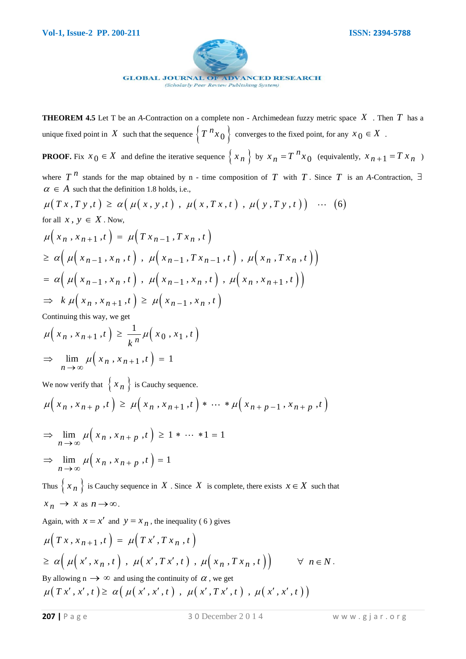

**THEOREM 4.5** Let T be an *A*-Contraction on a complete non - Archimedean fuzzy metric space *X* . Then *T* has a unique fixed point in X such that the sequence  $\left\{T \right.^n x_0\right\}$  converges to the fixed point, for any  $x_0 \in X$ .

**PROOF.** Fix  $x_0 \in X$  and define the iterative sequence  $\{x_n\}$  by  $x_n = T^n x_0$ *n*  $x_n = T^n x_0$  (equivalently,  $x_{n+1} = T x_n$ )

where  $T^{n}$  stands for the map obtained by n - time composition of T with T. Since T is an A-Contraction,  $\exists$  $\alpha \in A$  such that the definition 1.8 holds, i.e., where  $T^n$  stands for the map obtained by n - time composition of  $T$  with  $T$ . Since  $T$ <br>  $\alpha \in A$  such that the definition 1.8 holds, i.e.,<br>  $\mu(Tx, Ty, t) \ge \alpha (\mu(x, y, t) , \mu(x, Tx, t) , \mu(y, Ty, t)) \cdots (6)$ 

$$
\mu(Tx, Ty, t) \ge \alpha(\mu(x, y, t), \mu(x, Tx, t), \mu(y, Ty, t)) \cdots (6)
$$
  
for all  $x, y \in X$ . Now,

for all 
$$
x, y \in X
$$
. Now,  
\n
$$
\mu(x_n, x_{n+1}, t) = \mu(Tx_{n-1}, Tx_n, t)
$$
\n
$$
\geq \alpha \Big( \mu(x_{n-1}, x_n, t) , \mu(x_{n-1}, Tx_{n-1}, t) , \mu(x_n, Tx_n, t) \Big)
$$
\n
$$
= \alpha \Big( \mu(x_{n-1}, x_n, t) , \mu(x_{n-1}, x_n, t) , \mu(x_n, x_{n+1}, t) \Big)
$$
\n
$$
\Rightarrow k \mu(x_n, x_{n+1}, t) \geq \mu(x_{n-1}, x_n, t)
$$

Continuing this way, we get  
\n
$$
\mu\left(x_n, x_{n+1}, t\right) \ge \frac{1}{k^n} \mu\left(x_0, x_1, t\right)
$$
\n
$$
\Rightarrow \lim_{n \to \infty} \mu\left(x_n, x_{n+1}, t\right) = 1
$$

We now verify that  $\{ x_n \}$  is Cauchy sequence.

We now verify that 
$$
\{x_n\}
$$
 is Cauchy sequence.  
\n
$$
\mu\Big(x_n, x_{n+p}, t\Big) \ge \mu\Big(x_n, x_{n+1}, t\Big) * \cdots * \mu\Big(x_{n+p-1}, x_{n+p}, t\Big)
$$

$$
\Rightarrow \lim_{n \to \infty} \mu(x_n, x_{n+p}, t) \ge 1 * \dots * 1 = 1
$$
  

$$
\Rightarrow \lim_{n \to \infty} \mu(x_n, x_{n+p}, t) = 1
$$

Thus  $\{x_n\}$  is Cauchy sequence in X. Since X is complete, there exists  $x \in X$  such that  $x_n \to x$  as  $n \to \infty$ .

Again, with 
$$
x = x'
$$
 and  $y = x_n$ , the inequality (6) gives  
\n
$$
\mu(Tx, x_{n+1}, t) = \mu(Tx', Tx_n, t)
$$
\n
$$
\geq \alpha \Big( \mu(x', x_n, t) , \mu(x', Tx', t) , \mu(x_n, Tx_n, t) \Big) \qquad \forall n \in N.
$$
\nBy allowing  $n \to \infty$  and using the continuity of  $\alpha$ , we get  
\n
$$
\mu(Tx', x', t) \geq \alpha \Big( \mu(x', x', t) , \mu(x', Tx', t) , \mu(x', x', t) \Big)
$$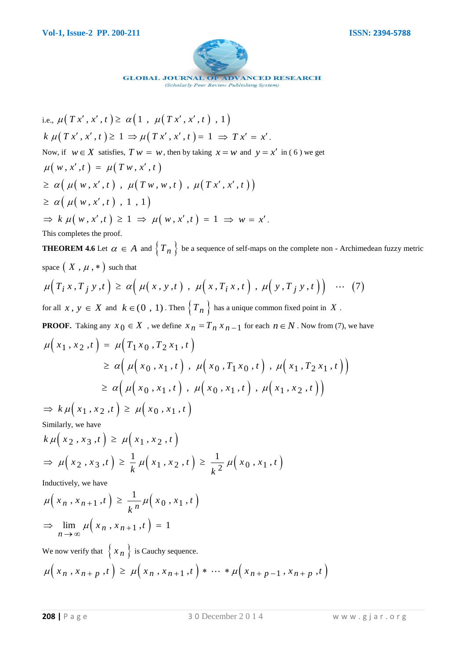

i.e., 
$$
\mu(Tx', x', t) \ge \alpha(1, \mu(Tx', x', t), 1)
$$
  
\n $k \mu(Tx', x', t) \ge 1 \Rightarrow \mu(Tx', x', t) = 1 \Rightarrow Tx' = x'.$   
\nNow, if  $w \in X$  satisfies,  $Tw = w$ , then by taking  $x = w$  and  $y = x'$  in (6) we get  
\n $\mu(w, x', t) = \mu(Tw, x', t)$   
\n $\ge \alpha(\mu(w, x', t), \mu(Tw, w, t), \mu(Tx', x', t))$   
\n $\ge \alpha(\mu(w, x', t), 1, 1)$   
\n $\Rightarrow k \mu(w, x', t) \ge 1 \Rightarrow \mu(w, x', t) = 1 \Rightarrow w = x'.$   
\nThis completes the proof.

**THEOREM 4.6** Let  $\alpha \in A$  and  $\{T_n\}$  be a sequence of self-maps on the complete non - Archimedean fuzzy metric space  $(X, \mu, *)$  such that  $\mu(T_i x, T_j y, t) \ge \alpha \Big( \mu(x, y, t) , \mu(x, T_i x, t) , \mu(y, T_j y, t) \Big) \cdots (7)$ space  $(X, \mu, *)$  such that

$$
\mu(T_i x, T_j y, t) \ge \alpha \Big( \mu(x, y, t) , \mu(x, T_i x, t) , \mu(y, T_j y, t) \Big) \cdots (7)
$$

for all  $x, y \in X$  and  $k \in (0, 1)$ . Then  $\left\{ T_n \right\}$  has a unique common fixed point in X.

**PROOF.** Taking any  $x_0 \in X$ , we define  $x_n = T_n x_{n-1}$  for each  $n \in N$ . Now from (7), we have *x x*<sub>0</sub>*x x*<sub>1</sub>*x*<sub>2</sub>*x*<sub>1</sub>*x*<sub>1</sub>*x*<sub>2</sub>*x*<sub>1</sub>*x*<sub>1</sub>*x*<sub>1</sub>*x*<sub>1</sub>*x*<sub>1</sub>*x*<sub>1</sub>*x*<sub>1</sub>*x*<sub>1</sub>*x*<sub>1</sub>*x*<sub>1</sub>*x*<sub>1</sub>*x*<sub>1</sub>*x*<sub>1</sub>*x*<sub>1</sub>*x*<sub>1</sub>*x*<sub>1</sub>*x*<sub>1</sub>*x*<sub>1</sub>*x*<sub>1</sub>*x*<sub>1</sub>*x*<sub>1</sub>*x*<sub>1</sub>*x*<sub>1</sub>*x*<sub>1</sub>*x*<sub>1</sub>*x*<sub>1</sub>*x*<sub>1</sub>*x*<sub>1</sub>*x*<sub>1</sub>

$$
\mu(x_1, x_2, t) = \mu(T_1 x_0, T_2 x_1, t)
$$
  
\n
$$
\geq \alpha \Big( \mu(x_0, x_1, t), \mu(x_0, T_1 x_0, t), \mu(x_1, T_2 x_1, t) \Big)
$$
  
\n
$$
\geq \alpha \Big( \mu(x_0, x_1, t), \mu(x_0, x_1, t), \mu(x_1, x_2, t) \Big)
$$
  
\n
$$
\Rightarrow k \mu(x_1, x_2, t) \geq \mu(x_0, x_1, t)
$$

Similarly, we have

Similarly, we have  
\n
$$
k \mu(x_2, x_3, t) \ge \mu(x_1, x_2, t)
$$
  
\n $\Rightarrow \mu(x_2, x_3, t) \ge \frac{1}{k} \mu(x_1, x_2, t) \ge \frac{1}{k^2} \mu(x_0, x_1, t)$ 

Inductively, we have

Inductively, we have  
\n
$$
\mu\left(x_n, x_{n+1}, t\right) \ge \frac{1}{k^n} \mu\left(x_0, x_1, t\right)
$$
\n
$$
\Rightarrow \lim_{n \to \infty} \mu\left(x_n, x_{n+1}, t\right) = 1
$$

We now verify that  $\{ x_n \}$  is Cauchy sequence.

We now verify that 
$$
\{x_n\}
$$
 is Cauchy sequence.  
\n
$$
\mu\Big(x_n, x_{n+p}, t\Big) \ge \mu\Big(x_n, x_{n+1}, t\Big) * \cdots * \mu\Big(x_{n+p-1}, x_{n+p}, t\Big)
$$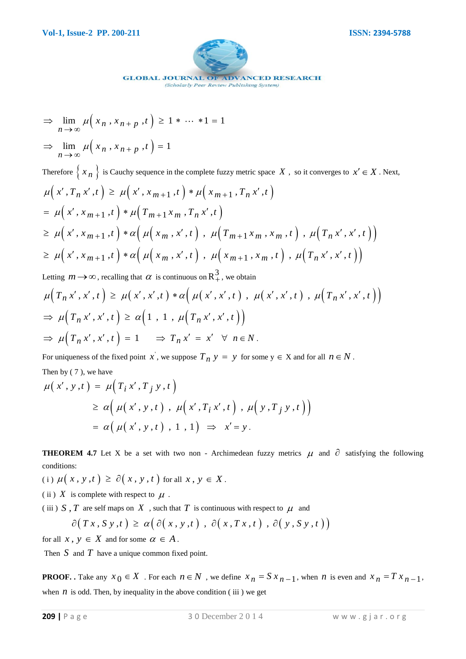

$$
\Rightarrow \lim_{n \to \infty} \mu(x_n, x_{n+p}, t) \ge 1 * \dots * 1 = 1
$$

 $\lim_{n \to \infty} \mu\left(x_n, x_{n+p}, t\right) = 1$  $\lim_{x\to\infty}\mu\Big($  $\Rightarrow \lim_{n \to \infty} \mu(x_n, x_{n+p}, t) = 1$ 

**209 |** P a g e 3 0 December 2 0 1 4 w w w . g j a r . o r g lim , , 1 1 1 *n n p* Therefore  $\{x_n\}$  is Cauchy sequence in the complete fuzzy metric space X, so it converges to  $x' \in X$ . Next,  $\mu(x', T_n x', t) \geq \mu(x', x_{m+1}, t) * \mu(x_{m+1}, T_n x', t)$  $=\mu(x', x_{m+1}, t) * \mu(T_{m+1} x_m, T_n x', t)$  $\mu(x', T_n x', t) \ge \mu(x', x_{m+1}, t) * \mu(x_{m+1}, T_n x', t)$ <br>=  $\mu(x', x_{m+1}, t) * \mu(T_{m+1} x_m, T_n x', t)$ <br> $\ge \mu(x', x_{m+1}, t) * \alpha(\mu(x_m, x', t), \mu(T_{m+1} x_m, x_m, t), \mu(T_n x', x', t))$ =  $\mu(x, x_{m+1},t) * \mu(T_{m+1}x_m, T_n x, t)$ <br>  $\geq \mu(x', x_{m+1},t) * \alpha(\mu(x_m, x',t), \mu(T_{m+1}x_m, x_m, t), \mu(T_n x', x', t))$ <br>  $\geq \mu(x', x_{m+1},t) * \alpha(\mu(x_m, x',t), \mu(x_{m+1}, x_m, t), \mu(T_n x', x', t))$  $\geq \mu(x', x_{m+1}, t) * \alpha(\mu(x_m, x', t), \mu(x_{m+1}, x_m, t), \mu(T_n x', x', t))$ 

Letting  $m \rightarrow \infty$ , recalling that  $\alpha$  is continuous on  $\mathbb{R}^3_+$ , we obtain

$$
\mu\Big(T_n x', x', t\Big) \ge \mu\Big(x', x', t\Big) * \alpha\Big(\mu\Big(x', x', t\Big), \mu\Big(x', x', t\Big), \mu\Big(T_n x', x', t\Big)\Big)
$$
  
\n
$$
\Rightarrow \mu\Big(T_n x', x', t\Big) \ge \alpha\Big(1, 1, \mu\Big(T_n x', x', t\Big)\Big)
$$
  
\n
$$
\Rightarrow \mu\Big(T_n x', x', t\Big) = 1 \Rightarrow T_n x' = x' \quad \forall n \in N.
$$

For uniqueness of the fixed point x, we suppose  $T_n$   $y = y$  for some  $y \in X$  and for all  $n \in N$ .

Then by (7), we have  
\n
$$
\mu(x', y, t) = \mu(T_i x', T_j y, t)
$$
\n
$$
\geq \alpha \Big( \mu(x', y, t) , \mu(x', T_i x', t) , \mu(y, T_j y, t) \Big)
$$
\n
$$
= \alpha \Big( \mu(x', y, t) , 1 , 1 \Big) \Rightarrow x' = y.
$$

**THEOREM 4.7** Let X be a set with two non - Archimedean fuzzy metrics  $\mu$  and  $\partial$  satisfying the following conditions:

(i)  $\mu(x, y, t) \ge \partial(x, y, t)$  for all  $x, y \in X$ .

(ii)  $X$  is complete with respect to  $\mu$ .

(iii)  $S$ ,  $T$  are self maps on  $X$ , such that  $T$  is continuous with respect to  $\mu$  and

is complete with respect to 
$$
\mu
$$
.  
\n*T* are self maps on *X*, such that *T* is continuous with respect to  $\mu$  and  
\n $\partial(Tx, Sy, t) \ge \alpha(\partial(x, y, t), \partial(x, Tx, t), \partial(y, Sy, t))$ 

for all  $x, y \in X$  and for some  $\alpha \in A$ .

Then  $S$  and  $T$  have a unique common fixed point.

**PROOF.** Take any  $x_0 \in X$ . For each  $n \in N$ , we define  $x_n = S x_{n-1}$ , when *n* is even and  $x_n = T x_{n-1}$ , when  $n$  is odd. Then, by inequality in the above condition (iii) we get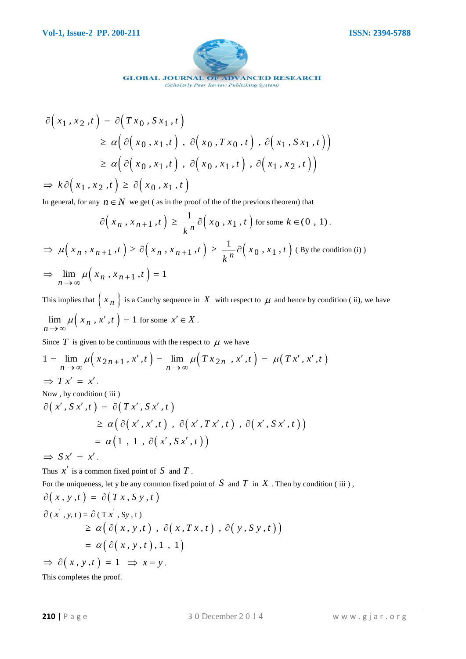

(Scholarly Peer Review Publishing System)

$$
\partial(x_1, x_2, t) = \partial(Tx_0, Sx_1, t)
$$
\n
$$
\geq \alpha \Big( \partial(x_0, x_1, t) , \partial(x_0, Tx_0, t) , \partial(x_1, Sx_1, t) \Big)
$$
\n
$$
\geq \alpha \Big( \partial(x_0, x_1, t) , \partial(x_0, x_1, t) , \partial(x_1, x_2, t) \Big)
$$
\n
$$
\Rightarrow k \partial(x_1, x_2, t) \geq \partial(x_0, x_1, t)
$$
\nIn general, for any  $n \in N$  we get (as in the proof of the of the previous theorem) that\n
$$
\partial(x_n, x_{n+1}, t) \geq \frac{1}{k^n} \partial(x_0, x_1, t) \text{ for some } k \in (0, 1).
$$
\n
$$
\Rightarrow \mu(x_n, x_{n+1}, t) \geq \partial(x_n, x_{n+1}, t) \geq \frac{1}{k^n} \partial(x_0, x_1, t) \text{ for some } k \in (0, 1).
$$
\n
$$
\Rightarrow \lim_{n \to \infty} \mu(x_n, x_{n+1}, t) = 1
$$
\nThis implies that  $\{x_n\}$  is a Cauchy sequence in X with respect to  $\mu$  and hence by condition (ii), we have\n
$$
\lim_{n \to \infty} \mu(x_n, x', t) = 1 \text{ for some } x' \in X.
$$
\nSince T is given to be continuous with the respect to  $\mu$  we have\n
$$
1 = \lim_{n \to \infty} \mu(x_{2n+1}, x', t) = \lim_{n \to \infty} \mu(Tx_{2n}, x', t) = \mu(Tx', x', t)
$$
\n
$$
\Rightarrow Tx' = x'.
$$
\nNow, by condition (iii)\n
$$
\partial(x', Sx', t) = \partial(Tx', Sx', t)
$$
\n
$$
\geq \alpha \Big( \partial(x', x', t) , \partial(x', Tx', t) , \partial(x', Sx', t) \Big)
$$
\n
$$
\Rightarrow Sx' = x'.
$$
\nNow, by condition (iii)\n
$$
\partial(x, s, x', t) = \partial(Tx', Sx', t)
$$
\n
$$
\geq \alpha \Big( \partial(x', x', t) , \partial(x, Tx, t) , \partial(x, Sx', t) \Big)
$$
\n<math display="</math>

In general, for any 
$$
n \in N
$$
 we get ( as in the proof of the of the previous theorem) that  
\n
$$
\partial \left(x_n, x_{n+1}, t\right) \ge \frac{1}{k^n} \partial \left(x_0, x_1, t\right) \text{ for some } k \in (0, 1).
$$
\n
$$
\Rightarrow \mu \left(x_n, x_{n+1}, t\right) \ge \partial \left(x_n, x_{n+1}, t\right) \ge \frac{1}{k^n} \partial \left(x_0, x_1, t\right) \text{ (By the condition (i))}
$$

$$
\Rightarrow \mu(x_n, x_{n+1}, t) \geq \mathcal{O}(x_n, x_{n+1}, t) \geq \frac{1}{k} \mathcal{O}(x_0, x_1, t)
$$
 (By the cond)  

$$
\Rightarrow \lim_{n \to \infty} \mu(x_n, x_{n+1}, t) = 1
$$

This implies that  $\{x_n\}$  is a Cauchy sequence in X with respect to  $\mu$  and hence by condition (ii), we have  $\lim_{n \to \infty} \mu\left(x_n, x', t\right) = 1$  $\mu(x_n, x', t)$  $\lim_{n \to \infty} \mu(x_n, x', t) = 1$  for some  $x' \in X$ .

Since  $T$  is given to be continuous with the respect to  $\mu$  we have

Since 
$$
T
$$
 is given to be continuous with the respect to  $\mu$  we have  
\n
$$
1 = \lim_{n \to \infty} \mu\Big(x_{2n+1}, x', t\Big) = \lim_{n \to \infty} \mu\Big(Tx_{2n}, x', t\Big) = \mu\Big(Tx', x', t\Big)
$$
\n
$$
\Rightarrow Tx' = x'.
$$
\nNow, by condition (iii)  
\n
$$
\partial\Big(x', S x', t\Big) = \partial\Big(T x', S x', t\Big)
$$

$$
\begin{aligned} S\,x',t\, &= \partial\big(\,T\,x'\,,\,S\,x'\,,\,t\,\big) \\ &\geq \alpha\big(\,\partial\big(\,x'\,,\,x'\,,\,t\,\big)\,\,,\,\partial\big(\,x'\,,\,T\,x'\,,\,t\,\big)\,\,,\,\partial\big(\,x'\,,\,S\,x'\,,\,t\,\big)\,\big) \\ &= \alpha\big(\,1\,\,,\,\,1\,\,,\,\partial\big(\,x'\,,\,S\,x'\,,\,t\,\big)\,\big) \end{aligned}
$$

 $\Rightarrow$  *S x'* = *x'*.

Thus  $x'$  is a common fixed point of  $S$  and  $T$ .

For the uniqueness, let y be any common fixed point of  $S$  and  $T$  in  $X$ . Then by condition (iii),

$$
\partial(x, y, t) = \partial(Tx, Sy, t)
$$
  
\n
$$
\partial(x', y, t) = \partial(Tx', Sy, t)
$$
  
\n
$$
\geq \alpha \big( \partial(x, y, t) , \partial(x, Tx, t) , \partial(y, Sy, t) \big)
$$
  
\n
$$
= \alpha \big( \partial(x, y, t) , 1 , 1 \big)
$$
  
\n
$$
\Rightarrow \partial(x, y, t) = 1 \Rightarrow x = y.
$$
  
\nThis completes the proof.

This completes the proof.